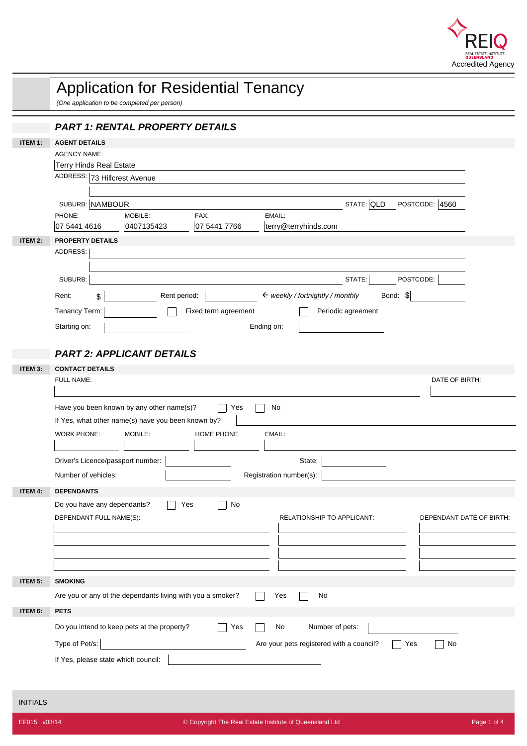

|                | <b>Application for Residential Tenancy</b><br>(One application to be completed per person) |
|----------------|--------------------------------------------------------------------------------------------|
|                | <b>PART 1: RENTAL PROPERTY DETAILS</b>                                                     |
| <b>ITEM 1:</b> | <b>AGENT DETAILS</b>                                                                       |
|                | <b>AGENCY NAME:</b>                                                                        |
|                | <b>Terry Hinds Real Estate</b><br>ADDRESS: 73 Hillcrest Avenue                             |
|                |                                                                                            |
|                | STATE: QLD<br>SUBURB: NAMBOUR<br>POSTCODE: 4560                                            |
|                | PHONE:<br>MOBILE:<br>FAX:<br>EMAIL:                                                        |
|                | 0407135423<br>07 5441 7766<br>07 5441 4616<br>terry@terryhinds.com                         |
| <b>ITEM 2:</b> | <b>PROPERTY DETAILS</b><br>ADDRESS:                                                        |
|                |                                                                                            |
|                | SUBURB:<br>POSTCODE:<br>STATE:                                                             |
|                | Bond: \$<br>Rent period:<br>$\leftarrow$ weekly / fortnightly / monthly<br>Rent:<br>\$     |
|                | Tenancy Term:<br>Fixed term agreement<br>Periodic agreement                                |
|                | Starting on:<br>Ending on:                                                                 |
|                |                                                                                            |
|                | <b>PART 2: APPLICANT DETAILS</b>                                                           |
| ITEM 3:        | <b>CONTACT DETAILS</b>                                                                     |
|                | FULL NAME:<br>DATE OF BIRTH:                                                               |
|                | Have you been known by any other name(s)?<br>Yes<br>No                                     |
|                | If Yes, what other name(s) have you been known by?                                         |
|                | <b>WORK PHONE:</b><br>MOBILE:<br><b>HOME PHONE:</b><br>EMAIL:                              |
|                |                                                                                            |
|                | Driver's Licence/passport number:<br>State:                                                |
|                | Number of vehicles:<br>Registration number(s):                                             |
| ITEM 4:        | <b>DEPENDANTS</b>                                                                          |
|                | Do you have any dependants?<br>Yes<br>No                                                   |
|                | DEPENDANT FULL NAME(S):<br>RELATIONSHIP TO APPLICANT:<br>DEPENDANT DATE OF BIRTH:          |
|                |                                                                                            |
|                |                                                                                            |
|                |                                                                                            |
| ITEM 5:        | <b>SMOKING</b>                                                                             |
|                | Are you or any of the dependants living with you a smoker?<br>No<br>Yes                    |
| ITEM 6:        | <b>PETS</b>                                                                                |
|                | Do you intend to keep pets at the property?<br>Number of pets:<br>Yes<br>No                |
|                | Type of Pet/s:<br>Are your pets registered with a council?<br>No<br>Yes                    |
|                | If Yes, please state which council:                                                        |
|                |                                                                                            |

INITIALS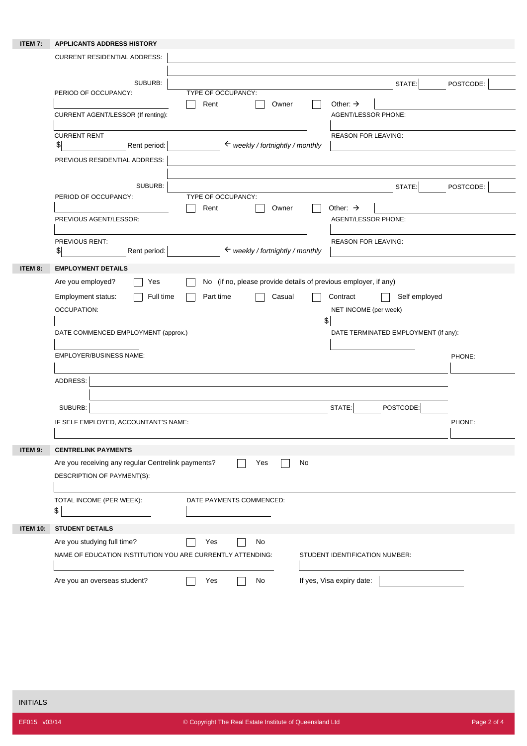| <b>ITEM 7:</b>  | <b>APPLICANTS ADDRESS HISTORY</b>                                                                                      |           |
|-----------------|------------------------------------------------------------------------------------------------------------------------|-----------|
|                 | <b>CURRENT RESIDENTIAL ADDRESS:</b>                                                                                    |           |
|                 |                                                                                                                        |           |
|                 | SUBURB:<br>STATE:                                                                                                      | POSTCODE: |
|                 | TYPE OF OCCUPANCY:<br>PERIOD OF OCCUPANCY:<br>Rent<br>Other: $\rightarrow$<br>Owner                                    |           |
|                 | CURRENT AGENT/LESSOR (If renting):<br>AGENT/LESSOR PHONE:                                                              |           |
|                 |                                                                                                                        |           |
|                 | <b>CURRENT RENT</b><br><b>REASON FOR LEAVING:</b><br>\$<br>$\leftarrow$ weekly / fortnightly / monthly<br>Rent period: |           |
|                 | PREVIOUS RESIDENTIAL ADDRESS:                                                                                          |           |
|                 |                                                                                                                        |           |
|                 | SUBURB:<br>STATE:                                                                                                      | POSTCODE: |
|                 | PERIOD OF OCCUPANCY:<br>TYPE OF OCCUPANCY:                                                                             |           |
|                 | Other: $\rightarrow$<br>Rent<br>Owner                                                                                  |           |
|                 | PREVIOUS AGENT/LESSOR:<br>AGENT/LESSOR PHONE:                                                                          |           |
|                 | PREVIOUS RENT:<br><b>REASON FOR LEAVING:</b>                                                                           |           |
|                 | \$ <br>$\leftarrow$ weekly / fortnightly / monthly<br>Rent period:                                                     |           |
| <b>ITEM 8:</b>  | <b>EMPLOYMENT DETAILS</b>                                                                                              |           |
|                 | No (if no, please provide details of previous employer, if any)<br>Are you employed?<br>Yes                            |           |
|                 | Employment status:<br>Full time<br>Casual<br>Self employed<br>Part time<br>Contract                                    |           |
|                 | <b>OCCUPATION:</b><br>NET INCOME (per week)                                                                            |           |
|                 | \$                                                                                                                     |           |
|                 | DATE COMMENCED EMPLOYMENT (approx.)<br>DATE TERMINATED EMPLOYMENT (if any):                                            |           |
|                 | EMPLOYER/BUSINESS NAME:                                                                                                |           |
|                 |                                                                                                                        | PHONE:    |
|                 | ADDRESS:                                                                                                               |           |
|                 |                                                                                                                        |           |
|                 | SUBURB:<br>POSTCODE:<br>STATE:                                                                                         |           |
|                 | IF SELF EMPLOYED, ACCOUNTANT'S NAME:                                                                                   | PHONE:    |
|                 |                                                                                                                        |           |
| ITEM 9:         | <b>CENTRELINK PAYMENTS</b>                                                                                             |           |
|                 | Are you receiving any regular Centrelink payments?<br>No<br>Yes                                                        |           |
|                 | DESCRIPTION OF PAYMENT(S):                                                                                             |           |
|                 |                                                                                                                        |           |
|                 | TOTAL INCOME (PER WEEK):<br>DATE PAYMENTS COMMENCED:                                                                   |           |
|                 | \$                                                                                                                     |           |
| <b>ITEM 10:</b> | <b>STUDENT DETAILS</b>                                                                                                 |           |
|                 | Are you studying full time?<br>Yes<br>No                                                                               |           |
|                 | NAME OF EDUCATION INSTITUTION YOU ARE CURRENTLY ATTENDING:<br>STUDENT IDENTIFICATION NUMBER:                           |           |
|                 |                                                                                                                        |           |
|                 | If yes, Visa expiry date:<br>Are you an overseas student?<br>Yes<br>No                                                 |           |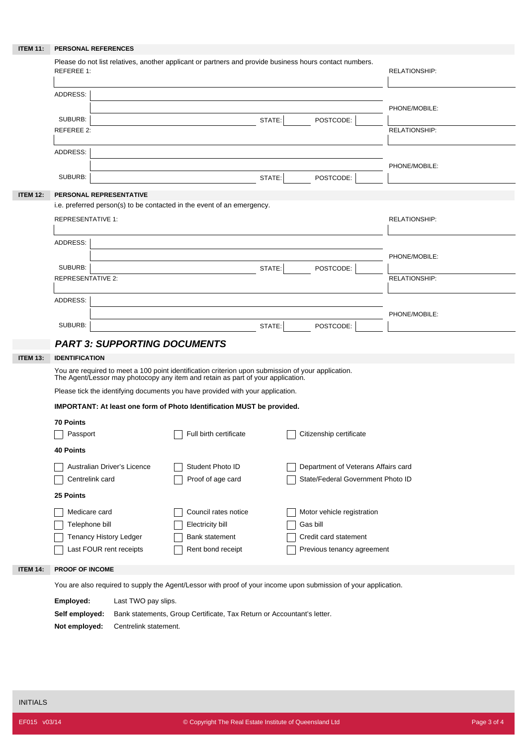| <b>ITEM 11:</b> | PERSONAL REFERENCES                                                                                                   |                                                                                                                                                                                       |        |                                     |                      |  |  |  |
|-----------------|-----------------------------------------------------------------------------------------------------------------------|---------------------------------------------------------------------------------------------------------------------------------------------------------------------------------------|--------|-------------------------------------|----------------------|--|--|--|
|                 | Please do not list relatives, another applicant or partners and provide business hours contact numbers.<br>REFEREE 1: |                                                                                                                                                                                       |        |                                     | <b>RELATIONSHIP:</b> |  |  |  |
|                 | ADDRESS:                                                                                                              |                                                                                                                                                                                       |        |                                     | PHONE/MOBILE:        |  |  |  |
|                 | SUBURB:<br><b>REFEREE 2:</b>                                                                                          |                                                                                                                                                                                       | STATE: | POSTCODE:                           | RELATIONSHIP:        |  |  |  |
|                 | ADDRESS:                                                                                                              |                                                                                                                                                                                       |        |                                     | PHONE/MOBILE:        |  |  |  |
|                 | SUBURB:                                                                                                               |                                                                                                                                                                                       | STATE: | POSTCODE:                           |                      |  |  |  |
| <b>ITEM 12:</b> | PERSONAL REPRESENTATIVE                                                                                               |                                                                                                                                                                                       |        |                                     |                      |  |  |  |
|                 | i.e. preferred person(s) to be contacted in the event of an emergency.                                                |                                                                                                                                                                                       |        |                                     |                      |  |  |  |
|                 | <b>REPRESENTATIVE 1:</b>                                                                                              |                                                                                                                                                                                       |        |                                     | RELATIONSHIP:        |  |  |  |
|                 | ADDRESS:                                                                                                              |                                                                                                                                                                                       |        |                                     |                      |  |  |  |
|                 |                                                                                                                       |                                                                                                                                                                                       |        |                                     | PHONE/MOBILE:        |  |  |  |
|                 | SUBURB:<br><b>REPRESENTATIVE 2:</b>                                                                                   |                                                                                                                                                                                       | STATE: | POSTCODE:                           |                      |  |  |  |
|                 |                                                                                                                       |                                                                                                                                                                                       |        |                                     | RELATIONSHIP:        |  |  |  |
|                 | ADDRESS:                                                                                                              |                                                                                                                                                                                       |        |                                     |                      |  |  |  |
|                 |                                                                                                                       |                                                                                                                                                                                       |        |                                     | PHONE/MOBILE:        |  |  |  |
|                 | SUBURB:                                                                                                               |                                                                                                                                                                                       | STATE: | POSTCODE:                           |                      |  |  |  |
|                 | <b>PART 3: SUPPORTING DOCUMENTS</b>                                                                                   |                                                                                                                                                                                       |        |                                     |                      |  |  |  |
| <b>ITEM 13:</b> | <b>IDENTIFICATION</b>                                                                                                 |                                                                                                                                                                                       |        |                                     |                      |  |  |  |
|                 |                                                                                                                       | You are required to meet a 100 point identification criterion upon submission of your application.<br>The Agent/Lessor may photocopy any item and retain as part of your application. |        |                                     |                      |  |  |  |
|                 | Please tick the identifying documents you have provided with your application.                                        |                                                                                                                                                                                       |        |                                     |                      |  |  |  |
|                 |                                                                                                                       | IMPORTANT: At least one form of Photo Identification MUST be provided.                                                                                                                |        |                                     |                      |  |  |  |
|                 | <b>70 Points</b>                                                                                                      |                                                                                                                                                                                       |        |                                     |                      |  |  |  |
|                 | Passport                                                                                                              | Full birth certificate                                                                                                                                                                |        | Citizenship certificate             |                      |  |  |  |
|                 | <b>40 Points</b>                                                                                                      |                                                                                                                                                                                       |        |                                     |                      |  |  |  |
|                 | Australian Driver's Licence                                                                                           | Student Photo ID                                                                                                                                                                      |        | Department of Veterans Affairs card |                      |  |  |  |
|                 | Centrelink card                                                                                                       | Proof of age card                                                                                                                                                                     |        | State/Federal Government Photo ID   |                      |  |  |  |
|                 | 25 Points                                                                                                             |                                                                                                                                                                                       |        |                                     |                      |  |  |  |
|                 | Medicare card                                                                                                         | Council rates notice                                                                                                                                                                  |        | Motor vehicle registration          |                      |  |  |  |
|                 | Telephone bill                                                                                                        | Electricity bill                                                                                                                                                                      |        | Gas bill                            |                      |  |  |  |
|                 | Tenancy History Ledger                                                                                                | Bank statement                                                                                                                                                                        |        | Credit card statement               |                      |  |  |  |
|                 | Last FOUR rent receipts                                                                                               | Rent bond receipt                                                                                                                                                                     |        | Previous tenancy agreement          |                      |  |  |  |
| <b>ITEM 14:</b> | PROOF OF INCOME                                                                                                       |                                                                                                                                                                                       |        |                                     |                      |  |  |  |
|                 | You are also required to supply the Agent/Lessor with proof of your income upon submission of your application.       |                                                                                                                                                                                       |        |                                     |                      |  |  |  |
|                 | Employed:<br>Last TWO pay slips.                                                                                      |                                                                                                                                                                                       |        |                                     |                      |  |  |  |

**Self employed:** Bank statements, Group Certificate, Tax Return or Accountant's letter. **Not employed:** Centrelink statement.